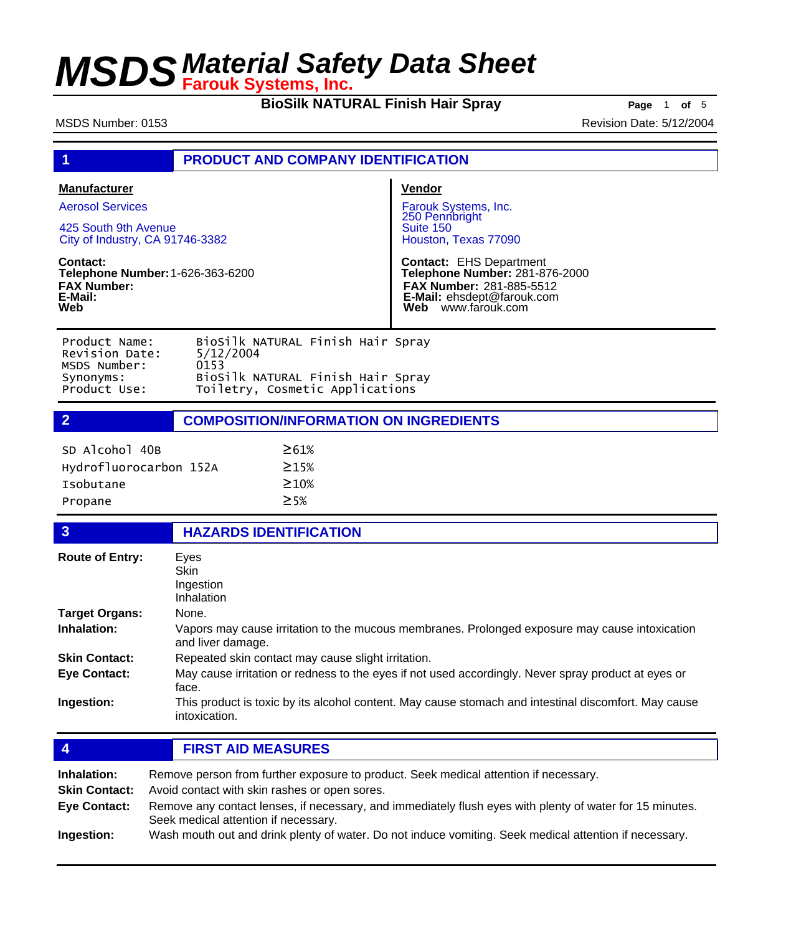**BioSilk NATURAL Finish Hair Spray** Page 1 of 5

MSDS Number: 0153 Revision Date: 5/12/2004

| 1                                                                                                                                                                                                 | <b>PRODUCT AND COMPANY IDENTIFICATION</b>                                                                                      |                                                                                                                                                                                                                                           |  |
|---------------------------------------------------------------------------------------------------------------------------------------------------------------------------------------------------|--------------------------------------------------------------------------------------------------------------------------------|-------------------------------------------------------------------------------------------------------------------------------------------------------------------------------------------------------------------------------------------|--|
| <b>Manufacturer</b><br><b>Aerosol Services</b><br>425 South 9th Avenue<br>City of Industry, CA 91746-3382<br>Contact:<br>Telephone Number: 1-626-363-6200<br><b>FAX Number:</b><br>E-Mail:<br>Web |                                                                                                                                | Vendor<br>Farouk Systems, Inc.<br>250 Pennbright<br>Suite 150<br>Houston, Texas 77090<br><b>Contact: EHS Department</b><br>Telephone Number: 281-876-2000<br>FAX Number: 281-885-5512<br>E-Mail: ehsdept@farouk.com<br>Web www.farouk.com |  |
| Product Name:<br>Revision Date:<br>MSDS Number:<br>Synonyms:<br>Product Use:                                                                                                                      | BioSilk NATURAL Finish Hair Spray<br>5/12/2004<br>0153<br>BioSilk NATURAL Finish Hair Spray<br>Toiletry, Cosmetic Applications |                                                                                                                                                                                                                                           |  |
| $\overline{2}$                                                                                                                                                                                    | <b>COMPOSITION/INFORMATION ON INGREDIENTS</b>                                                                                  |                                                                                                                                                                                                                                           |  |
| SD Alcohol 40B<br>Hydrofluorocarbon 152A<br><b>Isobutane</b><br>Propane                                                                                                                           | $\geq 61\%$<br>$\geq 15%$<br>$\geq 10\%$<br>$\geq$ 5%                                                                          |                                                                                                                                                                                                                                           |  |
| $\overline{\mathbf{3}}$                                                                                                                                                                           | <b>HAZARDS IDENTIFICATION</b>                                                                                                  |                                                                                                                                                                                                                                           |  |
| <b>Route of Entry:</b>                                                                                                                                                                            | Eyes<br>Skin<br>Ingestion<br>Inhalation                                                                                        |                                                                                                                                                                                                                                           |  |
| <b>Target Organs:</b>                                                                                                                                                                             | None.                                                                                                                          |                                                                                                                                                                                                                                           |  |
| Inhalation:                                                                                                                                                                                       | Vapors may cause irritation to the mucous membranes. Prolonged exposure may cause intoxication<br>and liver damage.            |                                                                                                                                                                                                                                           |  |
| <b>Skin Contact:</b>                                                                                                                                                                              | Repeated skin contact may cause slight irritation.                                                                             |                                                                                                                                                                                                                                           |  |
| <b>Eye Contact:</b>                                                                                                                                                                               | May cause irritation or redness to the eyes if not used accordingly. Never spray product at eyes or<br>face.                   |                                                                                                                                                                                                                                           |  |
| Ingestion:                                                                                                                                                                                        | intoxication.                                                                                                                  | This product is toxic by its alcohol content. May cause stomach and intestinal discomfort. May cause                                                                                                                                      |  |
| <b>FIRST AID MEASURES</b><br>$\overline{4}$                                                                                                                                                       |                                                                                                                                |                                                                                                                                                                                                                                           |  |
| Remove person from further exposure to product. Seek medical attention if necessary.<br>Inhalation:                                                                                               |                                                                                                                                |                                                                                                                                                                                                                                           |  |

**Skin Contact:** Avoid contact with skin rashes or open sores.

| <b>Eye Contact:</b> | Remove any contact lenses, if necessary, and immediately flush eyes with plenty of water for 15 minutes. |
|---------------------|----------------------------------------------------------------------------------------------------------|
|                     | Seek medical attention if necessary.                                                                     |

**Ingestion:** Wash mouth out and drink plenty of water. Do not induce vomiting. Seek medical attention if necessary.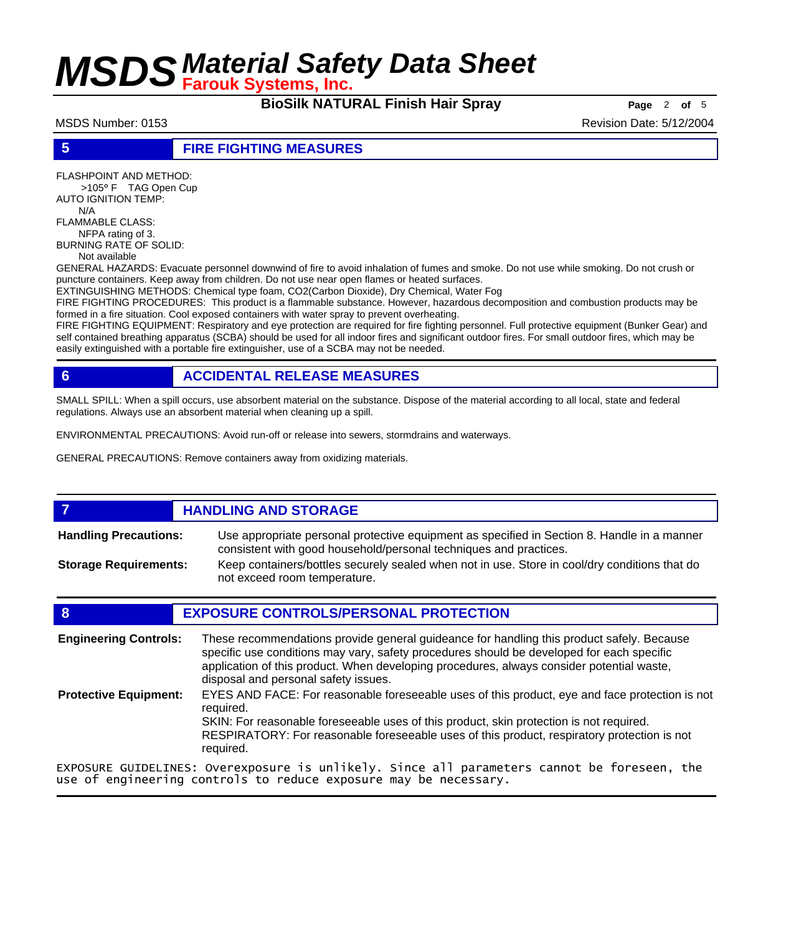**BioSilk NATURAL Finish Hair Spray Page** 2 of 5

MSDS Number: 0153 Revision Date: 5/12/2004

### **5 FIRE FIGHTING MEASURES**

FLASHPOINT AND METHOD: >105° F TAG Open Cup AUTO IGNITION TEMP: N/A

FLAMMABLE CLASS: NFPA rating of 3. BURNING RATE OF SOLID: Not available

GENERAL HAZARDS: Evacuate personnel downwind of fire to avoid inhalation of fumes and smoke. Do not use while smoking. Do not crush or puncture containers. Keep away from children. Do not use near open flames or heated surfaces.

EXTINGUISHING METHODS: Chemical type foam, CO2(Carbon Dioxide), Dry Chemical, Water Fog

FIRE FIGHTING PROCEDURES: This product is a flammable substance. However, hazardous decomposition and combustion products may be formed in a fire situation. Cool exposed containers with water spray to prevent overheating.

FIRE FIGHTING EQUIPMENT: Respiratory and eye protection are required for fire fighting personnel. Full protective equipment (Bunker Gear) and self contained breathing apparatus (SCBA) should be used for all indoor fires and significant outdoor fires. For small outdoor fires, which may be easily extinguished with a portable fire extinguisher, use of a SCBA may not be needed.

## **6 ACCIDENTAL RELEASE MEASURES**

SMALL SPILL: When a spill occurs, use absorbent material on the substance. Dispose of the material according to all local, state and federal regulations. Always use an absorbent material when cleaning up a spill.

ENVIRONMENTAL PRECAUTIONS: Avoid run-off or release into sewers, stormdrains and waterways.

GENERAL PRECAUTIONS: Remove containers away from oxidizing materials.

## **7 HANDLING AND STORAGE**

Use appropriate personal protective equipment as specified in Section 8. Handle in a manner consistent with good household/personal techniques and practices. **Handling Precautions:** Keep containers/bottles securely sealed when not in use. Store in cool/dry conditions that do not exceed room temperature. **Storage Requirements:**

### **8 EXPOSURE CONTROLS/PERSONAL PROTECTION** These recommendations provide general guideance for handling this product safely. Because specific use conditions may vary, safety procedures should be developed for each specific application of this product. When developing procedures, always consider potential waste, disposal and personal safety issues. **Engineering Controls:** EYES AND FACE: For reasonable foreseeable uses of this product, eye and face protection is not required. SKIN: For reasonable foreseeable uses of this product, skin protection is not required. RESPIRATORY: For reasonable foreseeable uses of this product, respiratory protection is not required. **Protective Equipment:** EXPOSURE GUIDELINES: Overexposure is unlikely. Since all parameters cannot be foreseen, the use of engineering controls to reduce exposure may be necessary.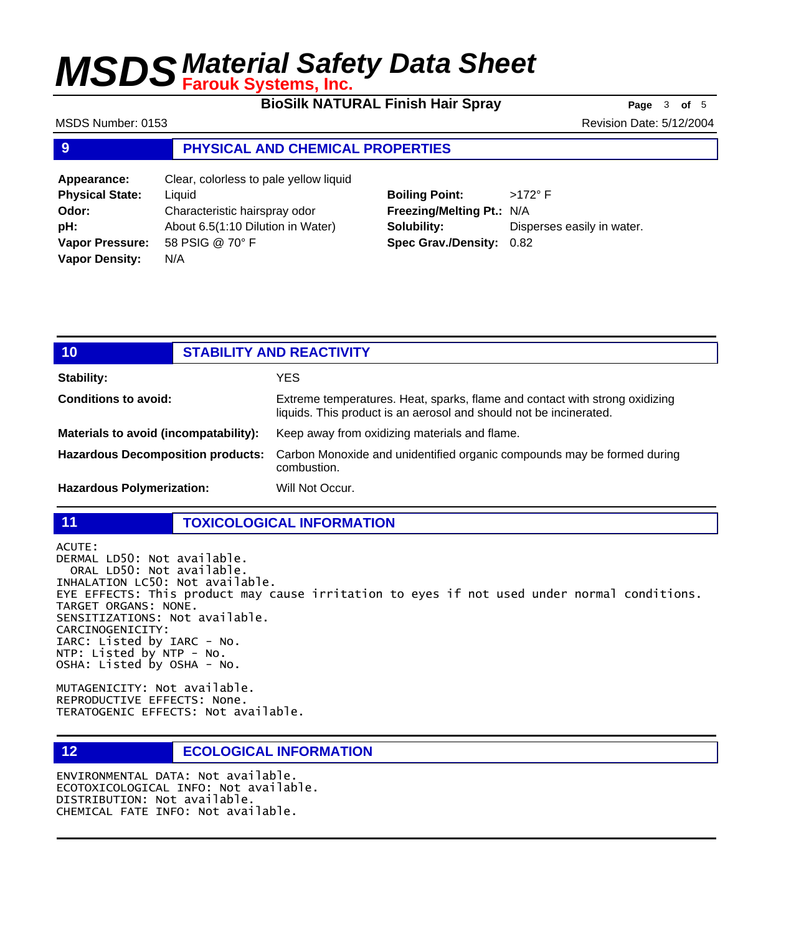**BioSilk NATURAL Finish Hair Spray Page** 3 of 5

MSDS Number: 0153 Revision Date: 5/12/2004

### **9 PHYSICAL AND CHEMICAL PROPERTIES**

| Appearance:            | Clear, colorless to pale yellow liquid |
|------------------------|----------------------------------------|
| <b>Physical State:</b> | Liquid                                 |
| Odor:                  | Characteristic hairspray odor          |
| pH:                    | About 6.5(1:10 Dilution in Water)      |
| <b>Vapor Pressure:</b> | 58 PSIG @ 70° F                        |
| <b>Vapor Density:</b>  | N/A                                    |
|                        |                                        |

**Boiling Point:** >172° F **Freezing/Melting Pt.:** N/A **Solubility:** Disperses easily in water. **Spec Grav./Density:** 0.82

| 10 <sub>1</sub>                          | <b>STABILITY AND REACTIVITY</b> |                                                                                                                                                   |
|------------------------------------------|---------------------------------|---------------------------------------------------------------------------------------------------------------------------------------------------|
| Stability:                               |                                 | YES                                                                                                                                               |
| <b>Conditions to avoid:</b>              |                                 | Extreme temperatures. Heat, sparks, flame and contact with strong oxidizing<br>liquids. This product is an aerosol and should not be incinerated. |
| Materials to avoid (incompatability):    |                                 | Keep away from oxidizing materials and flame.                                                                                                     |
| <b>Hazardous Decomposition products:</b> |                                 | Carbon Monoxide and unidentified organic compounds may be formed during<br>combustion.                                                            |
| <b>Hazardous Polymerization:</b>         |                                 | Will Not Occur.                                                                                                                                   |

**11 TOXICOLOGICAL INFORMATION**

ACUTE: DERMAL LD50: Not available. ORAL LD50: Not available. INHALATION LC50: Not available. EYE EFFECTS: This product may cause irritation to eyes if not used under normal conditions. TARGET ORGANS: NONE. SENSITIZATIONS: Not available. CARCINOGENICITY: IARC: Listed by IARC - No. NTP: Listed by NTP - No. OSHA: Listed by OSHA - No.

MUTAGENICITY: Not available. REPRODUCTIVE EFFECTS: None. TERATOGENIC EFFECTS: Not available.

### **12 ECOLOGICAL INFORMATION**

ENVIRONMENTAL DATA: Not available. ECOTOXICOLOGICAL INFO: Not available. DISTRIBUTION: Not available. CHEMICAL FATE INFO: Not available.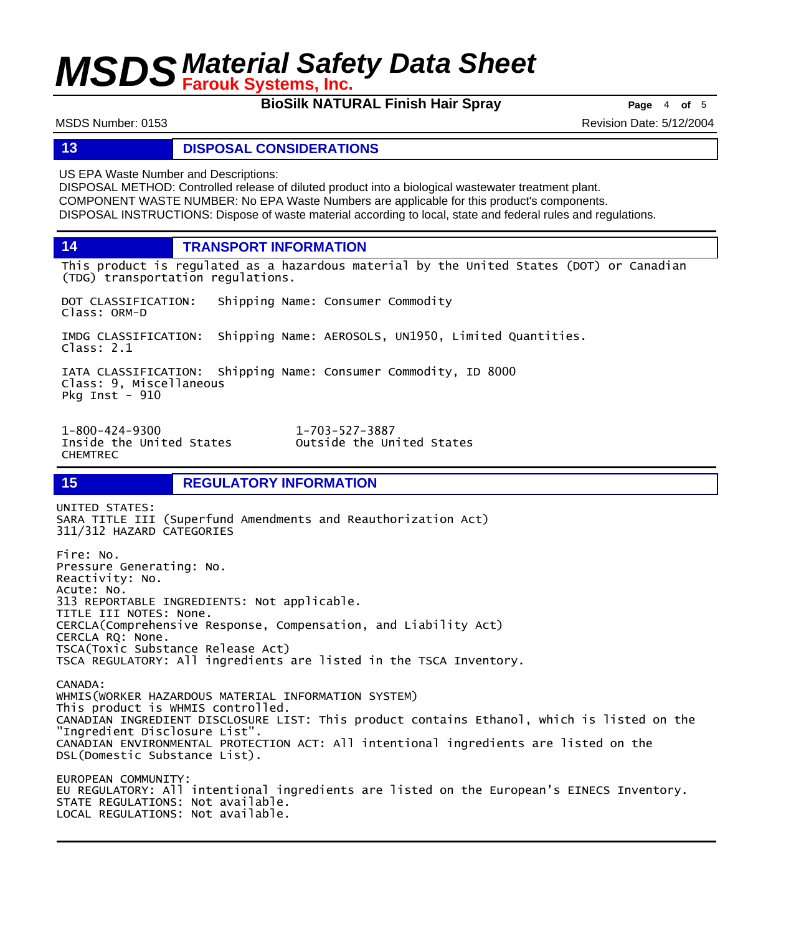**BioSilk NATURAL Finish Hair Spray** Page 4 of 5

MSDS Number: 0153 Revision Date: 5/12/2004

### **13 DISPOSAL CONSIDERATIONS**

US EPA Waste Number and Descriptions:

DISPOSAL METHOD: Controlled release of diluted product into a biological wastewater treatment plant. COMPONENT WASTE NUMBER: No EPA Waste Numbers are applicable for this product's components. DISPOSAL INSTRUCTIONS: Dispose of waste material according to local, state and federal rules and regulations.

**14 TRANSPORT INFORMATION**

This product is regulated as a hazardous material by the United States (DOT) or Canadian (TDG) transportation regulations.

DOT CLASSIFICATION: Shipping Name: Consumer Commodity Class: ORM-D

IMDG CLASSIFICATION: Shipping Name: AEROSOLS, UN1950, Limited Quantities. Class: 2.1

IATA CLASSIFICATION: Shipping Name: Consumer Commodity, ID 8000 Class: 9, Miscellaneous Pkg Inst - 910

Inside the United States CHEMTREC

1-800-424-9300 1-703-527-3887

## **15 REGULATORY INFORMATION**

UNITED STATES: SARA TITLE III (Superfund Amendments and Reauthorization Act) 311/312 HAZARD CATEGORIES Fire: No. Pressure Generating: No. Reactivity: No. Acute: No. 313 REPORTABLE INGREDIENTS: Not applicable. TITLE III NOTES: None. CERCLA(Comprehensive Response, Compensation, and Liability Act) CERCLA RQ: None. TSCA(Toxic Substance Release Act) TSCA REGULATORY: All ingredients are listed in the TSCA Inventory. CANADA: WHMIS(WORKER HAZARDOUS MATERIAL INFORMATION SYSTEM) This product is WHMIS controlled. CANADIAN INGREDIENT DISCLOSURE LIST: This product contains Ethanol, which is listed on the "Ingredient Disclosure List". CANADIAN ENVIRONMENTAL PROTECTION ACT: All intentional ingredients are listed on the DSL(Domestic Substance List). EUROPEAN COMMUNITY: EU REGULATORY: All intentional ingredients are listed on the European's EINECS Inventory.

STATE REGULATIONS: Not available. LOCAL REGULATIONS: Not available.